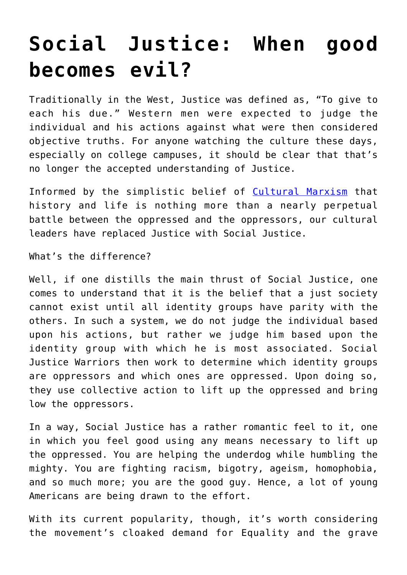## **[Social Justice: When good](https://intellectualtakeout.org/2018/04/social-justice-when-good-becomes-evil/) [becomes evil?](https://intellectualtakeout.org/2018/04/social-justice-when-good-becomes-evil/)**

Traditionally in the West, Justice was defined as, "To give to each his due." Western men were expected to judge the individual and his actions against what were then considered objective truths. For anyone watching the culture these days, especially on college campuses, it should be clear that that's no longer the accepted understanding of Justice.

Informed by the simplistic belief of [Cultural Marxism](https://www.intellectualtakeout.org/blog/what-cultural-marxism) that history and life is nothing more than a nearly perpetual battle between the oppressed and the oppressors, our cultural leaders have replaced Justice with Social Justice.

What's the difference?

Well, if one distills the main thrust of Social Justice, one comes to understand that it is the belief that a just society cannot exist until all identity groups have parity with the others. In such a system, we do not judge the individual based upon his actions, but rather we judge him based upon the identity group with which he is most associated. Social Justice Warriors then work to determine which identity groups are oppressors and which ones are oppressed. Upon doing so, they use collective action to lift up the oppressed and bring low the oppressors.

In a way, Social Justice has a rather romantic feel to it, one in which you feel good using any means necessary to lift up the oppressed. You are helping the underdog while humbling the mighty. You are fighting racism, bigotry, ageism, homophobia, and so much more; you are the good guy. Hence, a lot of young Americans are being drawn to the effort.

With its current popularity, though, it's worth considering the movement's cloaked demand for Equality and the grave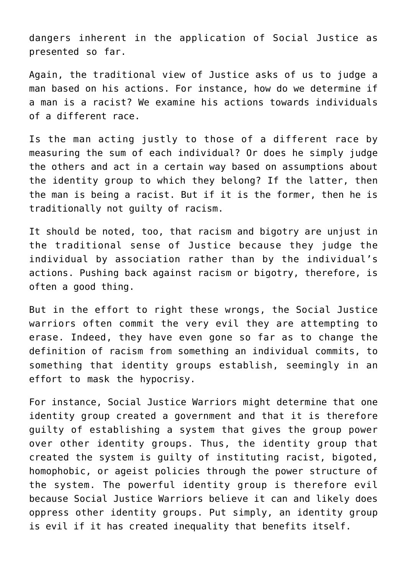dangers inherent in the application of Social Justice as presented so far.

Again, the traditional view of Justice asks of us to judge a man based on his actions. For instance, how do we determine if a man is a racist? We examine his actions towards individuals of a different race.

Is the man acting justly to those of a different race by measuring the sum of each individual? Or does he simply judge the others and act in a certain way based on assumptions about the identity group to which they belong? If the latter, then the man is being a racist. But if it is the former, then he is traditionally not guilty of racism.

It should be noted, too, that racism and bigotry are unjust in the traditional sense of Justice because they judge the individual by association rather than by the individual's actions. Pushing back against racism or bigotry, therefore, is often a good thing.

But in the effort to right these wrongs, the Social Justice warriors often commit the very evil they are attempting to erase. Indeed, they have even gone so far as to change the definition of racism from something an individual commits, to something that identity groups establish, seemingly in an effort to mask the hypocrisy.

For instance, Social Justice Warriors might determine that one identity group created a government and that it is therefore guilty of establishing a system that gives the group power over other identity groups. Thus, the identity group that created the system is guilty of instituting racist, bigoted, homophobic, or ageist policies through the power structure of the system. The powerful identity group is therefore evil because Social Justice Warriors believe it can and likely does oppress other identity groups. Put simply, an identity group is evil if it has created inequality that benefits itself.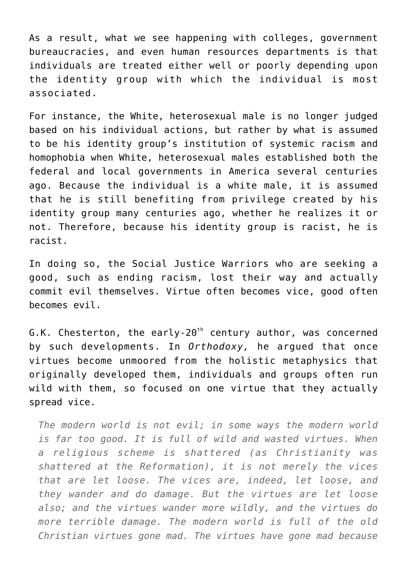As a result, what we see happening with colleges, government bureaucracies, and even human resources departments is that individuals are treated either well or poorly depending upon the identity group with which the individual is most associated.

For instance, the White, heterosexual male is no longer judged based on his individual actions, but rather by what is assumed to be his identity group's institution of systemic racism and homophobia when White, heterosexual males established both the federal and local governments in America several centuries ago. Because the individual is a white male, it is assumed that he is still benefiting from privilege created by his identity group many centuries ago, whether he realizes it or not. Therefore, because his identity group is racist, he is racist.

In doing so, the Social Justice Warriors who are seeking a good, such as ending racism, lost their way and actually commit evil themselves. Virtue often becomes vice, good often becomes evil.

G.K. Chesterton, the early-20<sup>th</sup> century author, was concerned by such developments. In *Orthodoxy,* he argued that once virtues become unmoored from the holistic metaphysics that originally developed them, individuals and groups often run wild with them, so focused on one virtue that they actually spread vice.

*The modern world is not evil; in some ways the modern world is far too good. It is full of wild and wasted virtues. When a religious scheme is shattered (as Christianity was shattered at the Reformation), it is not merely the vices that are let loose. The vices are, indeed, let loose, and they wander and do damage. But the virtues are let loose also; and the virtues wander more wildly, and the virtues do more terrible damage. The modern world is full of the old Christian virtues gone mad. The virtues have gone mad because*